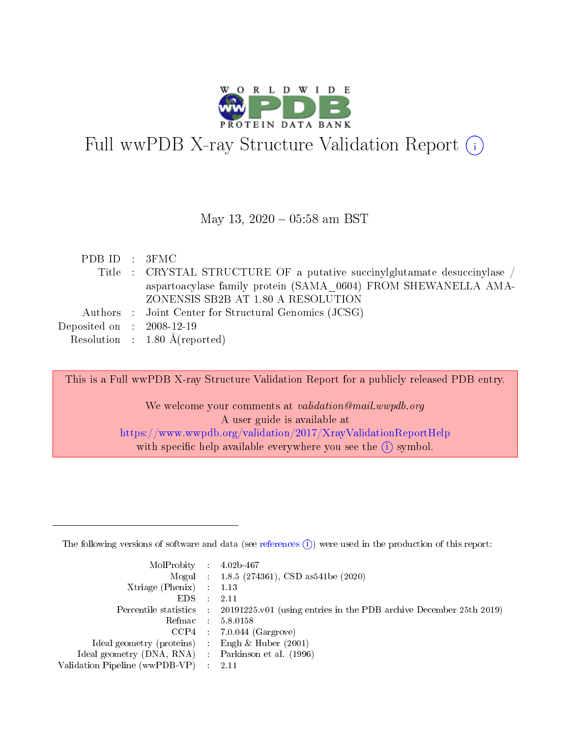

# Full wwPDB X-ray Structure Validation Report  $(i)$

### May 13,  $2020 - 05:58$  am BST

| PDB ID : 3FMC               |                                                                           |
|-----------------------------|---------------------------------------------------------------------------|
|                             | Title : CRYSTAL STRUCTURE OF a putative succinylglutamate desuccinylase / |
|                             | aspartoacylase family protein (SAMA 0604) FROM SHEWANELLA AMA-            |
|                             | ZONENSIS SB2B AT 1.80 A RESOLUTION                                        |
|                             | Authors : Joint Center for Structural Genomics (JCSG)                     |
| Deposited on : $2008-12-19$ |                                                                           |
|                             | Resolution : $1.80 \text{ Å}$ (reported)                                  |

This is a Full wwPDB X-ray Structure Validation Report for a publicly released PDB entry. We welcome your comments at validation@mail.wwpdb.org

A user guide is available at <https://www.wwpdb.org/validation/2017/XrayValidationReportHelp> with specific help available everywhere you see the  $(i)$  symbol.

The following versions of software and data (see [references](https://www.wwpdb.org/validation/2017/XrayValidationReportHelp#references)  $(1)$ ) were used in the production of this report:

| $MolProbability$ 4.02b-467                          |               |                                                                                            |
|-----------------------------------------------------|---------------|--------------------------------------------------------------------------------------------|
|                                                     |               | Mogul : $1.8.5$ (274361), CSD as 541be (2020)                                              |
| Xtriage (Phenix) $: 1.13$                           |               |                                                                                            |
| EDS.                                                | $\mathcal{L}$ | -2.11                                                                                      |
|                                                     |               | Percentile statistics : 20191225.v01 (using entries in the PDB archive December 25th 2019) |
|                                                     |               | Refmac $5.8.0158$                                                                          |
| CCP4                                                |               | $7.0.044$ (Gargrove)                                                                       |
| Ideal geometry (proteins)                           | $\sim$        | Engh $\&$ Huber (2001)                                                                     |
| Ideal geometry (DNA, RNA) : Parkinson et al. (1996) |               |                                                                                            |
| Validation Pipeline (wwPDB-VP) : 2.11               |               |                                                                                            |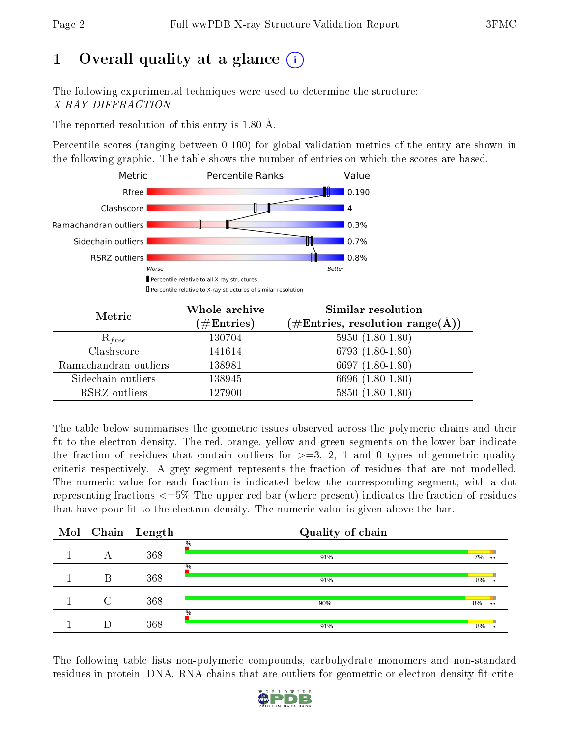# 1 [O](https://www.wwpdb.org/validation/2017/XrayValidationReportHelp#overall_quality)verall quality at a glance  $(i)$

The following experimental techniques were used to determine the structure: X-RAY DIFFRACTION

The reported resolution of this entry is 1.80 Å.

Percentile scores (ranging between 0-100) for global validation metrics of the entry are shown in the following graphic. The table shows the number of entries on which the scores are based.



| Metric                | Whole archive<br>$(\#\text{Entries})$ | Similar resolution<br>$(\#\text{Entries},\,\text{resolution}\,\,\text{range}(\textup{\AA}))$ |
|-----------------------|---------------------------------------|----------------------------------------------------------------------------------------------|
| $R_{free}$            | 130704                                | $5950(1.80-1.80)$                                                                            |
| Clashscore            | 141614                                | $6793(1.80-1.80)$                                                                            |
| Ramachandran outliers | 138981                                | 6697 $(1.80-1.80)$                                                                           |
| Sidechain outliers    | 138945                                | 6696 (1.80-1.80)                                                                             |
| RSRZ outliers         | 127900                                | $5850(1.80-1.80)$                                                                            |

The table below summarises the geometric issues observed across the polymeric chains and their fit to the electron density. The red, orange, yellow and green segments on the lower bar indicate the fraction of residues that contain outliers for  $>=3, 2, 1$  and 0 types of geometric quality criteria respectively. A grey segment represents the fraction of residues that are not modelled. The numeric value for each fraction is indicated below the corresponding segment, with a dot representing fractions <=5% The upper red bar (where present) indicates the fraction of residues that have poor fit to the electron density. The numeric value is given above the bar.

| Mol | Chain  | $\vert$ Length | Quality of chain |    |                  |
|-----|--------|----------------|------------------|----|------------------|
|     | А      | 368            | $\%$<br>91%      | 7% | $\bullet\bullet$ |
|     | В      | 368            | $\%$<br>91%      | 8% |                  |
|     | $\cap$ | 368            | 90%              | 8% | $\bullet\bullet$ |
|     | D      | 368            | $\%$<br>91%      | 8% |                  |

The following table lists non-polymeric compounds, carbohydrate monomers and non-standard residues in protein, DNA, RNA chains that are outliers for geometric or electron-density-fit crite-

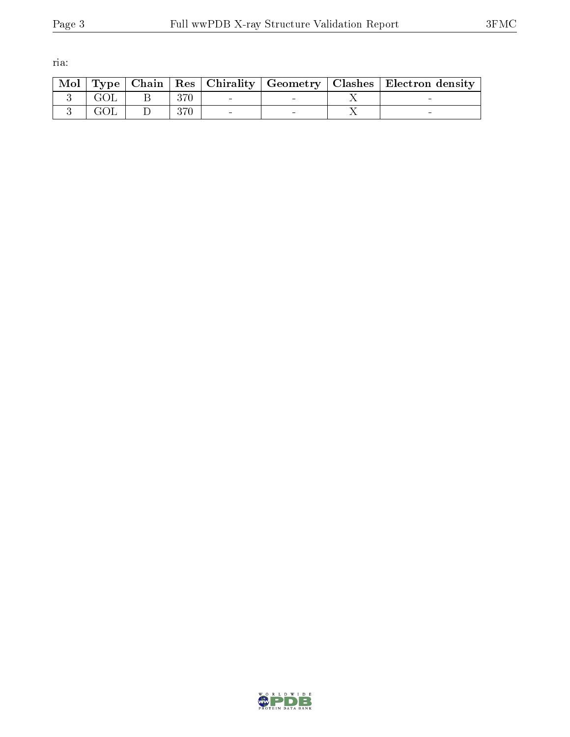ria:

|  |      |                          |  | Mol   Type   Chain   Res   Chirality   Geometry   Clashes   Electron density |
|--|------|--------------------------|--|------------------------------------------------------------------------------|
|  | -370 | <b>Contract Contract</b> |  |                                                                              |
|  | 370  |                          |  |                                                                              |

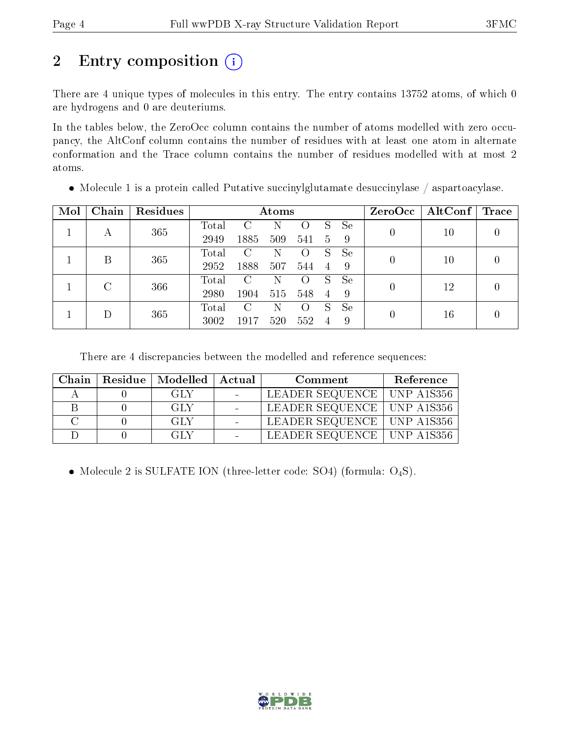# 2 Entry composition (i)

There are 4 unique types of molecules in this entry. The entry contains 13752 atoms, of which 0 are hydrogens and 0 are deuteriums.

In the tables below, the ZeroOcc column contains the number of atoms modelled with zero occupancy, the AltConf column contains the number of residues with at least one atom in alternate conformation and the Trace column contains the number of residues modelled with at most 2 atoms.

| Mol | Chain   | Residues |       | Atoms                  |     |                    |                |    |                | ZeroOcc   AltConf   Trace |  |
|-----|---------|----------|-------|------------------------|-----|--------------------|----------------|----|----------------|---------------------------|--|
|     |         | 365      | Total | $\left( \cdot \right)$ | N   |                    | S              | Se | 0              | 10                        |  |
|     | А       |          | 2949  | 1885                   | 509 | 541                | $5^{\circ}$    | -9 |                |                           |  |
|     | В       | 365      | Total | C                      | N   | $\left( \right)$   | S              | Se | 0              | $10\,$                    |  |
|     |         |          | 2952  | 1888                   | 507 | 544                | $\overline{4}$ | -9 |                |                           |  |
|     | $\rm C$ | 366      | Total | C                      | N   | $\left( \ \right)$ | S              | Se | $\overline{0}$ | 12                        |  |
|     |         |          | 2980  | 1904                   | 515 | 548                | $\overline{4}$ | -9 |                |                           |  |
|     |         |          | Total | C                      | Ν   | $\left( \right)$   | S              | Se |                |                           |  |
| Ð   | 365     | 3002     | 1917  | 520                    | 552 | 4                  | 9              | 0  | 16             |                           |  |

Molecule 1 is a protein called Putative succinylglutamate desuccinylase / aspartoacylase.

There are 4 discrepancies between the modelled and reference sequences:

| Chain | Residue   Modelled   Actual | Comment                      | Reference |
|-------|-----------------------------|------------------------------|-----------|
|       | GLY.                        | LEADER SEQUENCE   UNP A1S356 |           |
|       | GLY                         | LEADER SEQUENCE   UNP A1S356 |           |
|       | GLY                         | LEADER SEQUENCE   UNP A1S356 |           |
|       | GLY                         | LEADER SEQUENCE   UNP A1S356 |           |

• Molecule 2 is SULFATE ION (three-letter code: SO4) (formula:  $O_4S$ ).

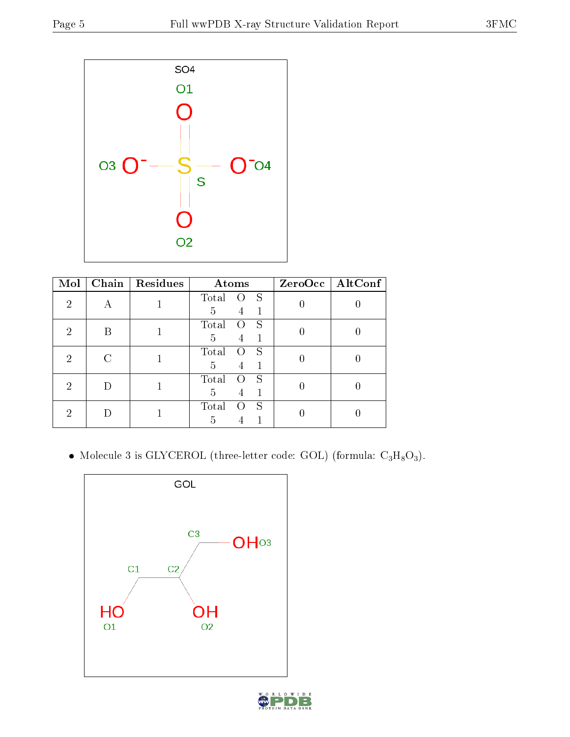

| Mol | Chain | Residues | Atoms                          |                  | ZeroOcc   AltConf |  |
|-----|-------|----------|--------------------------------|------------------|-------------------|--|
| 2   |       |          | Total<br>S<br>0                |                  |                   |  |
|     |       |          | 5<br>1<br>4<br>Total<br>S<br>0 |                  |                   |  |
| 2   | B     |          | 5<br>4                         | $\left( \right)$ |                   |  |
| 2   |       |          | Total<br>S<br>0                |                  |                   |  |
|     |       |          | 5<br>4                         |                  |                   |  |
| 2   |       |          | Total<br>S                     |                  |                   |  |
|     |       |          | 5<br>1<br>4                    |                  |                   |  |
|     |       |          | S<br>Total                     |                  |                   |  |
| 2   |       |          |                                | 5                |                   |  |

 $\bullet$  Molecule 3 is GLYCEROL (three-letter code: GOL) (formula:  $\rm{C_3H_8O_3}).$ 

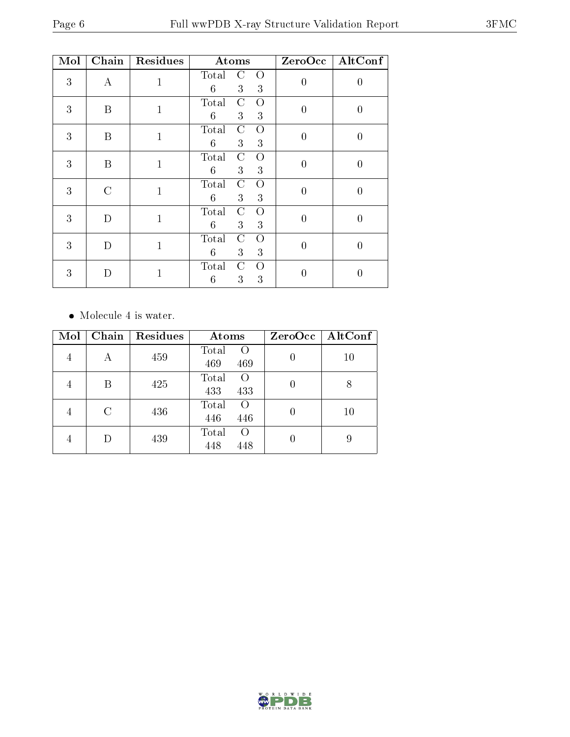| Mol | Chain            | Residues     | Atoms                                                    |                  | ZeroOcc   AltConf |
|-----|------------------|--------------|----------------------------------------------------------|------------------|-------------------|
| 3   | А                | 1            | $\mathcal{C}$<br>Total<br>$\circ$<br>6<br>3<br>3         | $\boldsymbol{0}$ | 0                 |
| 3   | B                | $\mathbf{1}$ | $\mathcal{C}$<br>Total<br>O<br>$6\phantom{.}6$<br>3<br>3 | $\boldsymbol{0}$ | $\overline{0}$    |
| 3   | B                | $\mathbf{1}$ | $\mathcal{C}$<br>$\overline{O}$<br>Total<br>6<br>3<br>3  | $\theta$         | $\theta$          |
| 3   | $\boldsymbol{B}$ | $\mathbf{1}$ | $\mathcal C$<br>Total<br>$\Omega$<br>3<br>3<br>6         | $\boldsymbol{0}$ | $\overline{0}$    |
| 3   | $\rm C$          | $\mathbf{1}$ | Total<br>$\mathcal{C}$<br>O<br>$6\phantom{.}6$<br>3<br>3 | $\overline{0}$   | $\overline{0}$    |
| 3   | D                | $\mathbf{1}$ | $\mathcal{C}$<br>Total<br>$\overline{O}$<br>3<br>3<br>6  | $\overline{0}$   | 0                 |
| 3   | D                | $\mathbf{1}$ | $\rm C$<br>Total<br>$\Omega$<br>3<br>6<br>3              | $\boldsymbol{0}$ | $\overline{0}$    |
| 3   | D                | $\mathbf{1}$ | Total<br>$\mathcal{C}$<br>O<br>6<br>3<br>3               | 0                |                   |

#### • Molecule 4 is water.

| Mol | Chain | <b>Residues</b> | Atoms                           | ZeroOcc | $\mathbf{AltConf}$ |
|-----|-------|-----------------|---------------------------------|---------|--------------------|
| 4   | А     | 459             | Total<br>$\Omega$<br>469<br>469 |         | 10                 |
|     | В     | 425             | Total<br>$\Omega$<br>433<br>433 |         | 8                  |
| 4   | С     | 436             | Total<br>$\Omega$<br>446<br>446 |         | 10                 |
| 4   |       | 439             | Total<br>$\Omega$<br>448<br>448 |         | 9                  |

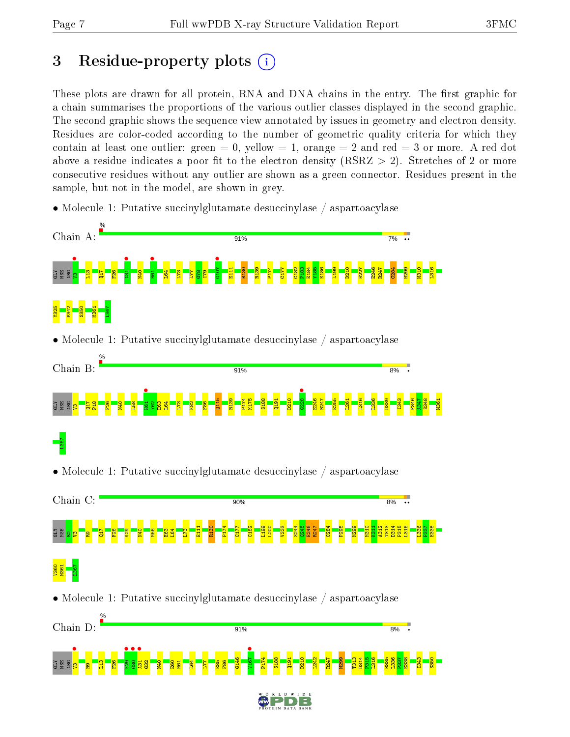# 3 Residue-property plots  $(i)$

These plots are drawn for all protein, RNA and DNA chains in the entry. The first graphic for a chain summarises the proportions of the various outlier classes displayed in the second graphic. The second graphic shows the sequence view annotated by issues in geometry and electron density. Residues are color-coded according to the number of geometric quality criteria for which they contain at least one outlier: green  $= 0$ , yellow  $= 1$ , orange  $= 2$  and red  $= 3$  or more. A red dot above a residue indicates a poor fit to the electron density (RSRZ  $> 2$ ). Stretches of 2 or more consecutive residues without any outlier are shown as a green connector. Residues present in the sample, but not in the model, are shown in grey.

• Molecule 1: Putative succinylglutamate desuccinylase / aspartoacylase



• Molecule 1: Putative succinylglutamate desuccinylase / aspartoacylase



• Molecule 1: Putative succinylglutamate desuccinylase / aspartoacylase

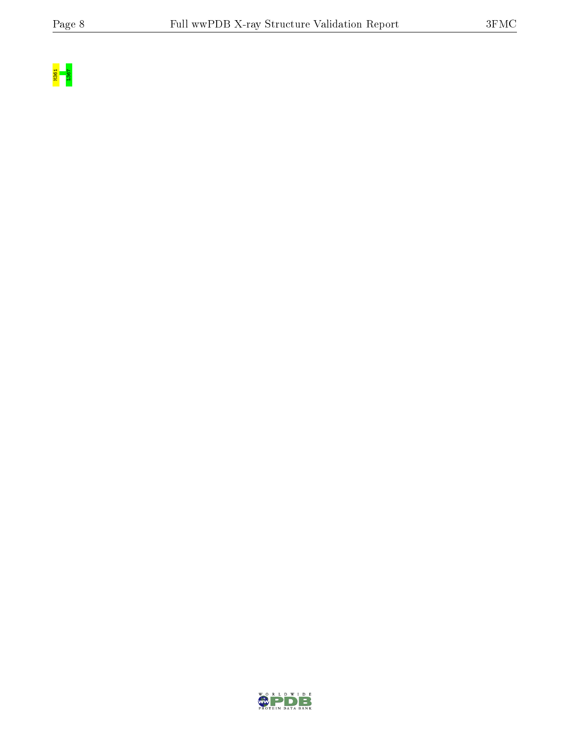

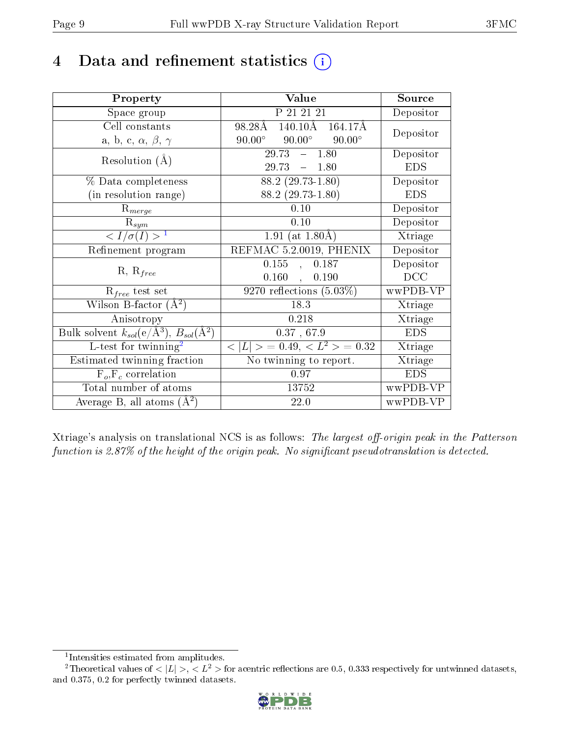## 4 Data and refinement statistics  $(i)$

| Property                                                         | Value                                           | Source     |
|------------------------------------------------------------------|-------------------------------------------------|------------|
| Space group                                                      | P 21 21 21                                      | Depositor  |
| Cell constants                                                   | $140.10\text{\AA}$<br>98.28Å<br>164.17Å         | Depositor  |
| a, b, c, $\alpha$ , $\beta$ , $\gamma$                           | $90.00^\circ$<br>$90.00^\circ$<br>$90.00^\circ$ |            |
| Resolution $(A)$                                                 | 29.73<br>$-1.80$                                | Depositor  |
|                                                                  | 29.73<br>$-1.80$                                | <b>EDS</b> |
| % Data completeness                                              | $88.2(29.73-1.80)$                              | Depositor  |
| (in resolution range)                                            | $88.2(29.73-1.80)$                              | <b>EDS</b> |
| $R_{merge}$                                                      | 0.10                                            | Depositor  |
| $\mathrm{R}_{sym}$                                               | 0.10                                            | Depositor  |
| $\langle I/\sigma(I) \rangle^{-1}$                               | 1.91 (at $1.80\text{\AA}$ )                     | Xtriage    |
| Refinement program                                               | REFMAC 5.2.0019, PHENIX                         | Depositor  |
|                                                                  | 0.155<br>0.187<br>$\mathbf{A}$                  | Depositor  |
| $R, R_{free}$                                                    | 0.160,<br>0.190                                 | DCC        |
| $R_{free}$ test set                                              | $9270$ reflections $(5.03\%)$                   | wwPDB-VP   |
| Wilson B-factor $(A^2)$                                          | 18.3                                            | Xtriage    |
| Anisotropy                                                       | 0.218                                           | Xtriage    |
| Bulk solvent $k_{sol}(\text{e}/\text{A}^3), B_{sol}(\text{A}^2)$ | 0.37, 67.9                                      | <b>EDS</b> |
| L-test for twinning <sup>2</sup>                                 | $< L >$ = 0.49, $< L^2 >$ = 0.32                | Xtriage    |
| Estimated twinning fraction                                      | No twinning to report.                          | Xtriage    |
| $F_o, F_c$ correlation                                           | 0.97                                            | <b>EDS</b> |
| Total number of atoms                                            | 13752                                           | wwPDB-VP   |
| Average B, all atoms $(A^2)$                                     | 22.0                                            | wwPDB-VP   |

Xtriage's analysis on translational NCS is as follows: The largest off-origin peak in the Patterson function is  $2.87\%$  of the height of the origin peak. No significant pseudotranslation is detected.

<sup>&</sup>lt;sup>2</sup>Theoretical values of  $\langle |L| \rangle$ ,  $\langle L^2 \rangle$  for acentric reflections are 0.5, 0.333 respectively for untwinned datasets, and 0.375, 0.2 for perfectly twinned datasets.



<span id="page-8-1"></span><span id="page-8-0"></span><sup>1</sup> Intensities estimated from amplitudes.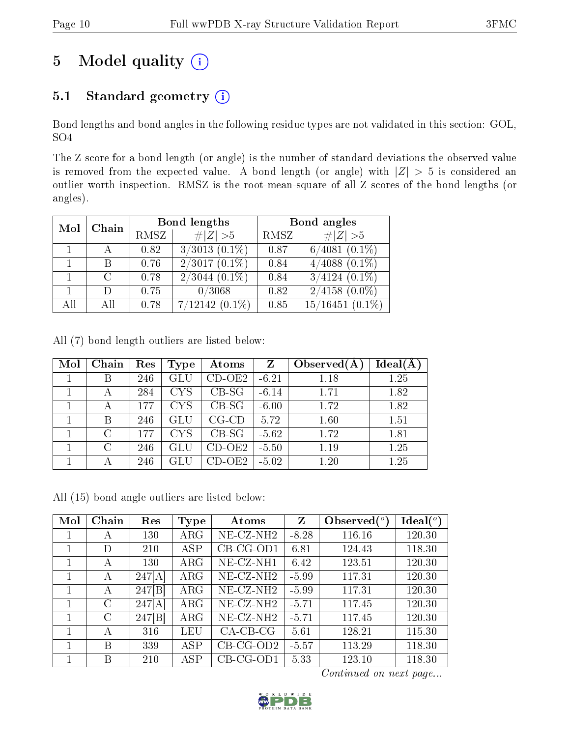# 5 Model quality  $(i)$

## 5.1 Standard geometry (i)

Bond lengths and bond angles in the following residue types are not validated in this section: GOL, SO4

The Z score for a bond length (or angle) is the number of standard deviations the observed value is removed from the expected value. A bond length (or angle) with  $|Z| > 5$  is considered an outlier worth inspection. RMSZ is the root-mean-square of all Z scores of the bond lengths (or angles).

| Chain<br>Mol |          |      | Bond lengths       | Bond angles |                    |  |
|--------------|----------|------|--------------------|-------------|--------------------|--|
|              |          | RMSZ | # $ Z >5$          | RMSZ        | $\# Z  > 5$        |  |
|              |          | 0.82 | $3/3013$ $(0.1\%)$ | 0.87        | $6/4081$ $(0.1\%)$ |  |
|              | B        | 0.76 | $2/3017(0.1\%)$    | 0.84        | $4/4088$ $(0.1\%)$ |  |
|              | $\Gamma$ | 0.78 | $2/3044$ $(0.1\%)$ | 0.84        | $3/4124$ $(0.1\%)$ |  |
|              |          | 0.75 | 0/3068             | 0.82        | $2/4158$ $(0.0\%)$ |  |
| All          | All      | 0.78 | $7/12142(0.1\%)$   | 0.85        | $15/16451$ (0.1%)  |  |

All (7) bond length outliers are listed below:

| Mol | Chain                       | Res | Type       | Atoms       | Z       | Observed $(A)$ | $Ideal(\AA)$ |
|-----|-----------------------------|-----|------------|-------------|---------|----------------|--------------|
|     | Β                           | 246 | GLU        | $CD-OE2$    | $-6.21$ | 1.18           | 1.25         |
|     | А                           | 284 | <b>CYS</b> | $CB-SG$     | $-6.14$ | 1.71           | 1.82         |
|     | А                           | 177 | <b>CYS</b> | $CB-SG$     | $-6.00$ | 1.72           | 1.82         |
|     | В                           | 246 | GLU        | $CG$ - $CD$ | 5.72    | 1.60           | 1.51         |
|     | $\mathcal{C}_{\mathcal{C}}$ | 177 | <b>CYS</b> | $CB-SG$     | $-5.62$ | 1.72           | 1.81         |
|     | $\bigcap$                   | 246 |            | $CD-OE2$    | $-5.50$ | 1.19           | 1.25         |
|     |                             | 246 |            | $CD-OE2$    | $-5.02$ | 1.20           | 1.25         |

All (15) bond angle outliers are listed below:

| Mol          | Chain   | Res    | Type       | Atoms        | Z       | Observed $(°)$ | $\text{Ideal}({}^o)$ |
|--------------|---------|--------|------------|--------------|---------|----------------|----------------------|
|              | А       | 130    | $\rm{ARG}$ | $NE- CZ-NH2$ | $-8.28$ | 116.16         | 120.30               |
| 1            | D       | 210    | <b>ASP</b> | $CB-CG-OD1$  | 6.81    | 124.43         | 118.30               |
| 1            | А       | 130    | $\rm{ARG}$ | NE-CZ-NH1    | 6.42    | 123.51         | 120.30               |
| 1            | А       | 247[A] | $\rm{ARG}$ | $NE- CZ-NH2$ | $-5.99$ | 117.31         | 120.30               |
| 1            | А       | 247[B] | $\rm{ARG}$ | $NE- CZ-NH2$ | $-5.99$ | 117.31         | 120.30               |
| $\mathbf{1}$ | $\rm C$ | 247[A] | $\rm{ARG}$ | $NE- CZ-NH2$ | $-5.71$ | 117.45         | 120.30               |
| 1            | C       | 247[B] | $\rm{ARG}$ | $NE- CZ-NH2$ | $-5.71$ | 117.45         | 120.30               |
| 1            | А       | 316    | LEU        | $CA-CB-CG$   | 5.61    | 128.21         | 115.30               |
| 1            | В       | 339    | <b>ASP</b> | $CB-CG-OD2$  | $-5.57$ | 113.29         | 118.30               |
| 1            | В       | 210    | <b>ASP</b> | $CB-CG-OD1$  | 5.33    | 123.10         | 118.30               |

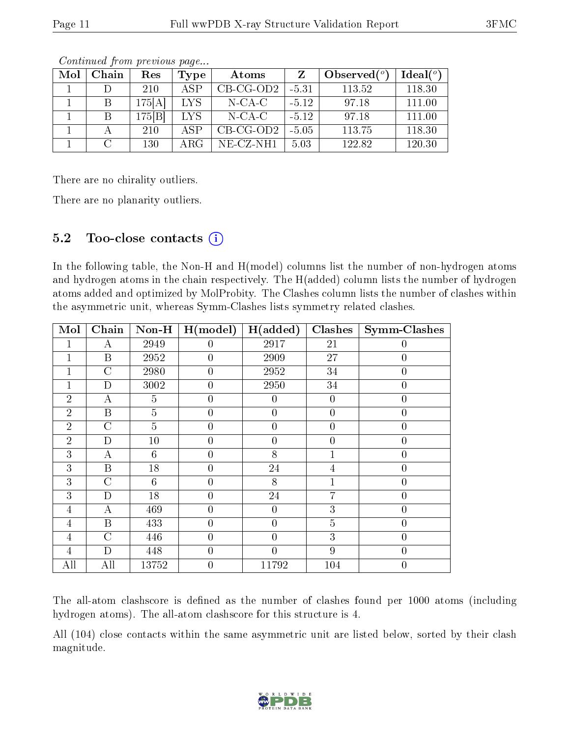| Mol | Chain | $\operatorname{Res}% \left( \mathcal{N}\right) \equiv\operatorname{Res}(\mathcal{N}_{0},\mathcal{N}_{0})$ | Type | Atoms        |         | Observed $(°)$ | Ideal $(°)$ |
|-----|-------|-----------------------------------------------------------------------------------------------------------|------|--------------|---------|----------------|-------------|
|     |       | 210                                                                                                       | ASP  | $CB-CG-OD2$  | $-5.31$ | 113.52         | 118.30      |
|     |       | 175[A]                                                                                                    | LYS. | $N$ -CA-C    | $-5.12$ | 97.18          | 111.00      |
|     |       | 175 B                                                                                                     | LYS. | $N-CA-C$     | $-5.12$ | 97.18          | 111.00      |
|     |       | 210                                                                                                       | ASP. | $CB-CG-OD2$  | $-5.05$ | 113.75         | 118.30      |
|     | C     | 130                                                                                                       | ARG  | $NE- CZ-NH1$ | 5.03    | 122.82         | 120.30      |

Continued from previous page...

There are no chirality outliers.

There are no planarity outliers.

### 5.2 Too-close contacts (i)

In the following table, the Non-H and H(model) columns list the number of non-hydrogen atoms and hydrogen atoms in the chain respectively. The H(added) column lists the number of hydrogen atoms added and optimized by MolProbity. The Clashes column lists the number of clashes within the asymmetric unit, whereas Symm-Clashes lists symmetry related clashes.

| Mol            | Chain            | $Non-H$        | H (model)      | H(added)       | Clashes          | <b>Symm-Clashes</b> |
|----------------|------------------|----------------|----------------|----------------|------------------|---------------------|
| 1              | А                | 2949           | $\theta$       | 2917           | 21               | $\theta$            |
|                | $\mathbf B$      | 2952           | $\theta$       | 2909           | $\overline{27}$  | $\overline{0}$      |
| 1              | $\overline{C}$   | 2980           | $\overline{0}$ | 2952           | 34               | $\overline{0}$      |
| 1              | $\mathbf D$      | 3002           | $\theta$       | 2950           | 34               | $\overline{0}$      |
| $\overline{2}$ | А                | 5              | $\theta$       | $\overline{0}$ | $\overline{0}$   | $\overline{0}$      |
| $\overline{2}$ | $\mathbf{B}$     | $\overline{5}$ | $\theta$       | $\theta$       | $\overline{0}$   | $\overline{0}$      |
| $\overline{2}$ | $\mathcal{C}$    | $\overline{5}$ | 0              | $\overline{0}$ | $\overline{0}$   | $\theta$            |
| $\overline{2}$ | D                | 10             | 0              | $\overline{0}$ | $\boldsymbol{0}$ | $\overline{0}$      |
| 3              | А                | 6              | $\overline{0}$ | 8              | 1                | $\overline{0}$      |
| 3              | $\boldsymbol{B}$ | 18             | $\overline{0}$ | 24             | $\overline{4}$   | $\overline{0}$      |
| 3              | $\rm C$          | 6              | $\overline{0}$ | 8              | $\mathbf 1$      | $\overline{0}$      |
| 3              | D                | 18             | $\overline{0}$ | 24             | 7                | $\overline{0}$      |
| 4              | A                | 469            | $\theta$       | $\theta$       | 3                | $\overline{0}$      |
| $\overline{4}$ | $\mathbf B$      | 433            | $\overline{0}$ | $\overline{0}$ | $\overline{5}$   | $\overline{0}$      |
| 4              | $\overline{C}$   | 446            | $\theta$       | $\overline{0}$ | 3                | $\overline{0}$      |
| 4              | D                | 448            | $\theta$       | $\overline{0}$ | 9                | $\overline{0}$      |
| All            | All              | 13752          | $\theta$       | 11792          | 104              | $\overline{0}$      |

The all-atom clashscore is defined as the number of clashes found per 1000 atoms (including hydrogen atoms). The all-atom clashscore for this structure is 4.

All (104) close contacts within the same asymmetric unit are listed below, sorted by their clash magnitude.

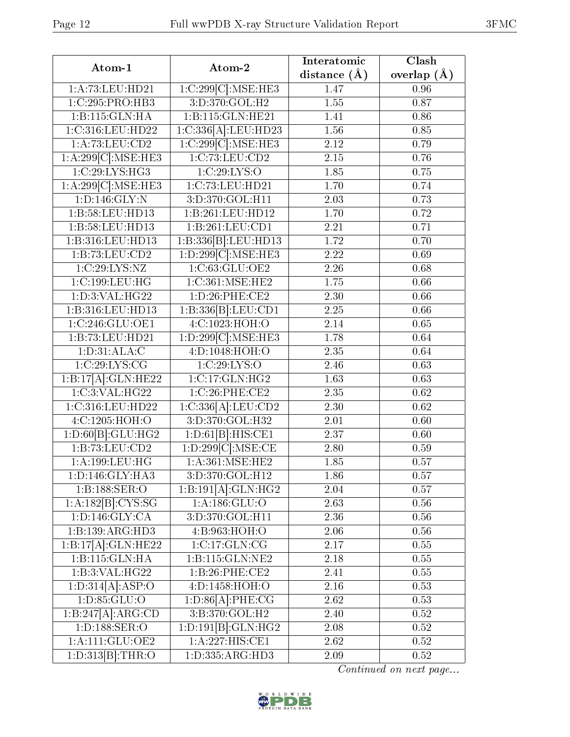| Atom-1                           | Atom-2                     | Interatomic    | Clash         |
|----------------------------------|----------------------------|----------------|---------------|
|                                  |                            | distance $(A)$ | overlap $(A)$ |
| 1:A:73:LEU:HD21                  | 1:C:299[C]:MSE:HE3         | 1.47           | 0.96          |
| 1:C:295:PRO:HB3                  | 3:D:370:GOL:H2             | 1.55           | 0.87          |
| 1:B:115:GLN:HA                   | 1:B:115:GLN:HE21           | 1.41           | 0.86          |
| 1:C:316:LEU:HD22                 | $1:C:336[A]:$ LEU:HD23     | 1.56           | 0.85          |
| 1:A:73:LEU:CD2                   | 1:C:299[C].MSE:HE3         | 2.12           | 0.79          |
| 1:A:299[C]:MSE:HE3               | 1:C:73:LEU:CD2             | 2.15           | 0.76          |
| 1:C:29:LYS:HG3                   | 1:C:29:LYS:O               | 1.85           | 0.75          |
| 1:A:299[C].MSE:HE3               | 1:C:73:LEU:HD21            | 1.70           | 0.74          |
| 1:D:146:GLY:N                    | 3:D:370:GOL:HT1            | 2.03           | 0.73          |
| 1:B:58:LEU:HD13                  | 1:B:261:LEU:HD12           | 1.70           | 0.72          |
| 1:B:58:LEU:HD13                  | 1:B:261:LEU:CD1            | 2.21           | 0.71          |
| 1:B:316:LEU:HD13                 | 1:B:336 [B]:LEU:HD13       | 1.72           | 0.70          |
| 1:B:73:LEU:CD2                   | 1:D:299[C]:MSE:HE3         | 2.22           | 0.69          |
| 1:C:29:LYS:NZ                    | 1:C:63:GLU:OE2             | 2.26           | 0.68          |
| 1:C:199:LEU:HG                   | 1:C:361:MSE:HE2            | 1.75           | 0.66          |
| 1: D:3: VAL:HG22                 | 1: D:26: PHE:CE2           | 2.30           | 0.66          |
| 1:B:316:LEU:HD13                 | 1:B:336[B]:LEU:CD1         | 2.25           | 0.66          |
| 1:C:246:GLU:OE1                  | 4:C:1023:HOH:O             | 2.14           | 0.65          |
| 1:B:73:LEU:HD21                  | 1:D:299[C]:MSE:HE3         | 1.78           | 0.64          |
| 1: D:31: ALA: C                  | 4:D:1048:HOH:O             | 2.35           | 0.64          |
| 1:C:29:LYS:CG                    | 1:C:29:LYS:O               | 2.46           | 0.63          |
| 1:B:17[A]:GLN:HE22               | 1:C:17:GLN:HG2             | 1.63           | 0.63          |
| 1:C:3:VAL:HG22                   | 1:C:26:PHE:CE2             | 2.35           | 0.62          |
| 1:C:316:LEU:HD22                 | 1:C:336[A]:LEU:CD2         | 2.30           | 0.62          |
| $4:$ C:1205:HOH:O                | 3:D:370:GOL:H32            | 2.01           | 0.60          |
| 1:D:60[B]:GLU:HG2                | 1:D:61[B]:HIS:CE1          | 2.37           | 0.60          |
| $1: \overline{B:73:L}$ EU: $CD2$ | 1:D:299[C]:MSE:CE          | 2.80           | 0.59          |
| 1:A:199:LEU:HG                   | 1: A:361:MSE:HE2           | 1.85           | 0.57          |
| 1: D: 146: GLY: HA3              | 3:D:370:GOL:H12            | 1.86           | 0.57          |
| 1:B:188:SER:O                    | 1:B:191[A]:GLN:HG2         | 2.04           | 0.57          |
| 1:A:182[B]:CYS:SG                | 1:A:186:GLU:O              | 2.63           | 0.56          |
| 1: D: 146: GLY: CA               | 3:D:370:GOL:H11            | 2.36           | 0.56          |
| 1:B:139:ARG:HD3                  | 4:B:963:HOH:O              | 2.06           | 0.56          |
| 1:B:17[A]:GLN:HE22               | $1:C:17:GLN:C\overline{G}$ | 2.17           | 0.55          |
| 1:B:115:GLN:HA                   | 1:B:115:GLN:NE2            | 2.18           | 0.55          |
| 1:B:3:VAL:HG22                   | 1:B:26:PHE:CE2             | $2.41\,$       | 0.55          |
| 1:D:314[A]:ASP:O                 | 4:D:1458:HOH:O             | 2.16           | 0.53          |
| 1: D: 85: GLU: O                 | 1:D:86[A]:PHE:CG           | 2.62           | 0.53          |
| 1:B:247[A]:ARG:CD                | 3:B:370:GOL:H2             | 2.40           | 0.52          |
| 1:D:188:SER:O                    | 1:D:191[B]:GLN:HG2         | 2.08           | 0.52          |
| 1: A:111: GLU:OE2                | 1:A:227:HIS:CE1            | 2.62           | 0.52          |
| 1:D:313[B]:THR:O                 | 1:D:335:ARG:HD3            | 2.09           | 0.52          |

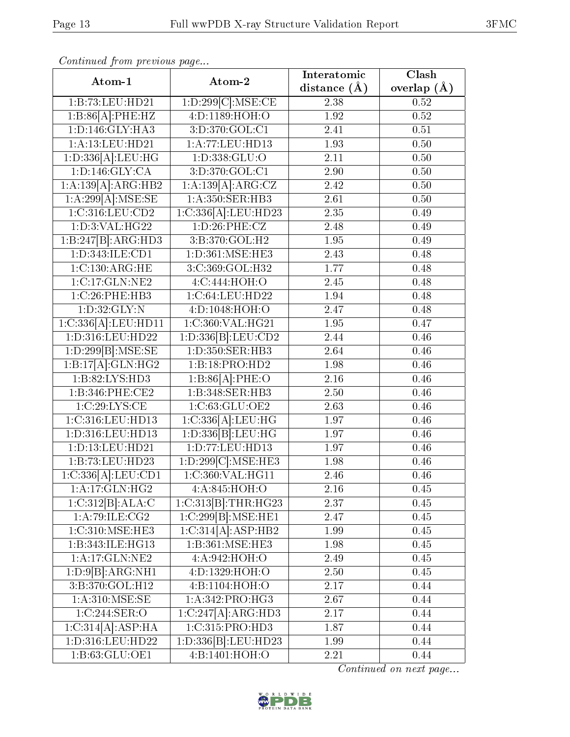| Continuea from previous page |                     | Interatomic    | Clash           |
|------------------------------|---------------------|----------------|-----------------|
| Atom-1                       | Atom-2              | distance $(A)$ | overlap $(\AA)$ |
| 1:B:73:LEU:HD21              | 1:D:299[C]:MSE:CE   | 2.38           | 0.52            |
| 1:B:86[A]:PHE:HZ             | 4: D: 1189: HOH:O   | 1.92           | 0.52            |
| 1:D:146:GLY:HA3              | 3:D:370:GOL:C1      | 2.41           | 0.51            |
| 1:A:13:LEU:HD21              | 1: A:77:LEU:HD13    | 1.93           | 0.50            |
| 1:D:336[A]:LEU:HG            | 1: D: 338: GLU: O   | 2.11           | 0.50            |
| 1: D: 146: GLY: CA           | 3:D:370:GOL:C1      | 2.90           | 0.50            |
| 1:A:139[A]:ARG:HB2           | 1:A:139[A]:ARG:CZ   | 2.42           | 0.50            |
| 1:A:299[A]:MSE:SE            | 1:A:350:SER:HB3     | 2.61           | 0.50            |
| 1:C:316:LEU:CD2              | 1:C:336[A].LEU:HD23 | 2.35           | 0.49            |
| 1: D:3: VAL:HG22             | 1:D:26:PHE:CZ       | 2.48           | 0.49            |
| 1:B:247[B]:ARG:HD3           | 3:B:370:GOL:H2      | 1.95           | 0.49            |
| 1: D: 343: ILE: CD1          | 1:D:361:MSE:HE3     | 2.43           | 0.48            |
| 1:C:130:ARG:HE               | 3:C:369:GOL:H32     | 1.77           | 0.48            |
| 1:C:17:GLN:NE2               | 4:C:444:HOH:O       | 2.45           | 0.48            |
| 1:C:26:PHE:HB3               | 1:C:64:LEU:HD22     | 1.94           | 0.48            |
| 1: D: 32: GLY:N              | 4:D:1048:HOH:O      | 2.47           | 0.48            |
| 1:C:336[A]:LEU:HD11          | 1:C:360:VAL:HG21    | 1.95           | 0.47            |
| 1:D:316:LEU:HD22             | 1:D:336[B]:LEU:CD2  | 2.44           | 0.46            |
| 1:D:299[B]:MSE:SE            | 1:D:350:SER:HB3     | 2.64           | 0.46            |
| 1:B:17[A]:GLN:HG2            | 1:B:18:PRO:HD2      | 1.98           | 0.46            |
| 1: B:82: LYS: HD3            | 1:B:86[A]:PHE:O     | 2.16           | 0.46            |
| 1:B:346:PHE:CE2              | 1:B:348:SER:HB3     | 2.50           | 0.46            |
| 1:C:29:LYS:CE                | 1:C:63:GLU:OE2      | 2.63           | 0.46            |
| 1:C:316:LEU:HD13             | 1:C:336[A]:LEU:HG   | 1.97           | 0.46            |
| 1:D:316:LEU:HD13             | 1:D:336[B]:LEU:HG   | 1.97           | 0.46            |
| 1:D:13:LEU:HD21              | 1: D: 77: LEU: HD13 | 1.97           | 0.46            |
| 1:B:73:LEU:HD23              | 1:D:299[C]:MSE:HE3  | 1.98           | 0.46            |
| 1:C:336[A]:LEU:CD1           | 1:C:360:VAL:HG11    | 2.46           | 0.46            |
| 1:A:17:GLN:HG2               | 4:A:845:HOH:O       | 2.16           | 0.45            |
| 1:C:312[B]:ALA:C             | 1:C:313[B]:THR:HG23 | 2.37           | 0.45            |
| 1: A:79: ILE: CG2            | 1:C:299[B]:MSE:HE1  | 2.47           | 0.45            |
| 1:C:310:MSE:HE3              | 1:C:314[A]:ASP:HB2  | 1.99           | 0.45            |
| 1:B:343:ILE:HG13             | 1:B:361:MSE:HE3     | 1.98           | 0.45            |
| 1:A:17:GLN:NE2               | 4:A:942:HOH:O       | 2.49           | 0.45            |
| 1:D:9[B]:ARG:NH1             | 4:D:1329:HOH:O      | 2.50           | 0.45            |
| 3:B:370:GOL:H12              | 4:B:1104:HOH:O      | 2.17           | 0.44            |
| 1: A:310: MSE:SE             | 1: A:342: PRO:HG3   | 2.67           | 0.44            |
| 1:C:244:SER:O                | 1:C:247[A]:ARG:HD3  | 2.17           | 0.44            |
| 1:C:314[A]:ASP:HA            | 1:C:315:PRO:HD3     | 1.87           | 0.44            |
| 1:D:316:LEU:HD22             | 1:D:336[B]:LEU:HD23 | 1.99           | 0.44            |
| 1:B:63:GLU:OE1               | 4:B:1401:HOH:O      | 2.21           | 0.44            |

Continued from previous page.

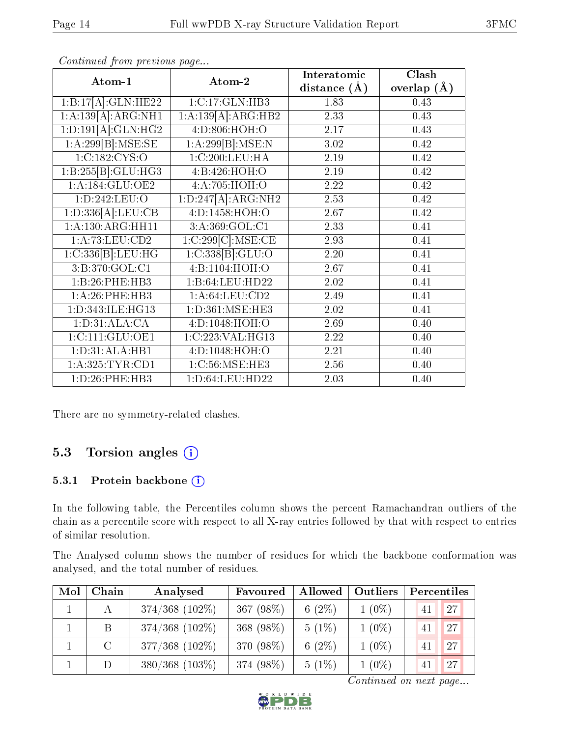| Atom-1             | Atom-2             | Interatomic      | Clash         |
|--------------------|--------------------|------------------|---------------|
|                    |                    | distance $(\AA)$ | overlap $(A)$ |
| 1:B:17[A]:GLN:HE22 | 1:C:17:GLN:HB3     | 1.83             | 0.43          |
| 1:A:139[A]:ARG:NH1 | 1:A:139[A]:ARG:HB2 | 2.33             | 0.43          |
| 1:D:191[A]:GLN:HG2 | 4:D:806:HOH:O      | 2.17             | 0.43          |
| 1:A:299[B]:MSE:SE  | 1:A:299[B]:MSE:N   | 3.02             | 0.42          |
| 1:C:182:CYS:O      | 1:C:200:LEU:HA     | 2.19             | 0.42          |
| 1:B:255[B]:GLU:HG3 | 4:B:426:HOH:O      | 2.19             | 0.42          |
| 1: A:184: GLU:OE2  | 4:A:705:HOH:O      | 2.22             | 0.42          |
| 1:D:242:LEU:O      | 1:D:247[A]:ARG:NH2 | 2.53             | 0.42          |
| 1:D:336[A]:LEU:CB  | 4: D: 1458: HOH:O  | 2.67             | 0.42          |
| 1:A:130:ARG:HH11   | 3:A:369:GOL:Cl     | 2.33             | 0.41          |
| 1:A:73:LEU:CD2     | 1:C:299[C].MSE:CE  | 2.93             | 0.41          |
| 1:C:336[B]:LEU:HG  | 1:C:338[B]:GLU:O   | 2.20             | 0.41          |
| 3: B:370: GOL:CI   | 4:B:1104:HOH:O     | 2.67             | 0.41          |
| 1:B:26:PHE:HB3     | 1:B:64:LEU:HD22    | 2.02             | 0.41          |
| 1:A:26:PHE:HB3     | 1: A:64:LEU:CD2    | 2.49             | 0.41          |
| 1:D:343:ILE:HG13   | 1:D:361:MSE:HE3    | 2.02             | 0.41          |
| 1: D: 31: ALA: CA  | 4:D:1048:HOH:O     | 2.69             | 0.40          |
| 1:C:111:GLU:OE1    | 1:C:223:VAL:HG13   | 2.22             | 0.40          |
| 1: D: 31: ALA: HB1 | 4:D:1048:HOH:O     | 2.21             | 0.40          |
| 1:A:325:TYR:CD1    | 1:C:56:MSE:HE3     | 2.56             | 0.40          |
| 1: D:26: PHE:HB3   | 1: D:64:LEU:HD22   | 2.03             | 0.40          |

Continued from previous page...

There are no symmetry-related clashes.

## 5.3 Torsion angles (i)

#### 5.3.1 Protein backbone (i)

In the following table, the Percentiles column shows the percent Ramachandran outliers of the chain as a percentile score with respect to all X-ray entries followed by that with respect to entries of similar resolution.

The Analysed column shows the number of residues for which the backbone conformation was analysed, and the total number of residues.

| Mol | Chain   | Analysed            | Favoured  | Allowed   | Outliers | Percentiles |    |
|-----|---------|---------------------|-----------|-----------|----------|-------------|----|
|     |         | $374/368$ $(102\%)$ | 367 (98%) | 6 $(2\%)$ | $1(0\%)$ | 41          | 27 |
|     | B.      | $374/368$ $(102\%)$ | 368 (98%) | $5(1\%)$  | $1(0\%)$ | 41          | 27 |
|     | $\rm C$ | $377/368$ $(102\%)$ | 370 (98%) | 6 $(2\%)$ | $1(0\%)$ | 41          | 27 |
|     |         | $380/368$ (103\%)   | 374 (98%) | $5(1\%)$  | $1(0\%)$ | 41          | 27 |

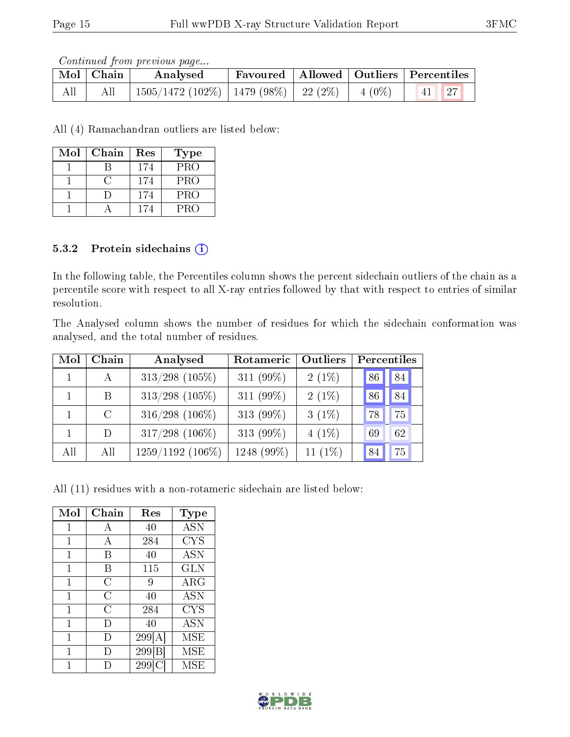Continued from previous page...

|     | Mol   Chain | Analysed                                         |  | Favoured   Allowed   Outliers   Percentiles |
|-----|-------------|--------------------------------------------------|--|---------------------------------------------|
| All | All         | 1505/1472 (102%)   1479 (98%)   22 (2%)   4 (0%) |  | $\vert 41 \vert \vert 27$                   |

All (4) Ramachandran outliers are listed below:

| Mol | Chain | Res | <b>Type</b> |
|-----|-------|-----|-------------|
|     |       | 174 | <b>PRO</b>  |
|     |       | 174 | <b>PRO</b>  |
|     |       | 174 | <b>PRO</b>  |
|     |       | 174 | <b>PRO</b>  |

#### 5.3.2 Protein sidechains (i)

In the following table, the Percentiles column shows the percent sidechain outliers of the chain as a percentile score with respect to all X-ray entries followed by that with respect to entries of similar resolution.

The Analysed column shows the number of residues for which the sidechain conformation was analysed, and the total number of residues.

| Mol | Chain         | Analysed           | Rotameric  | Outliers   |    | Percentiles |
|-----|---------------|--------------------|------------|------------|----|-------------|
|     | $\mathbf{A}$  | $313/298$ (105%)   | 311 (99%)  | $2(1\%)$   | 86 | 84          |
|     | B             | $313/298$ (105%)   | 311 (99%)  | $2(1\%)$   | 86 | 84          |
|     | $\mathcal{C}$ | $316/298$ (106%)   | 313 (99%)  | $3(1\%)$   | 78 | 75          |
|     | D             | $317/298$ (106%)   | 313 (99%)  | $4(1\%)$   | 69 | 62          |
| All | All           | $1259/1192$ (106%) | 1248 (99%) | 11 $(1\%)$ | 84 | 75          |

All (11) residues with a non-rotameric sidechain are listed below:

| Mol | Chain          | Res      | Type         |
|-----|----------------|----------|--------------|
| 1   | А              | 40       | <b>ASN</b>   |
| 1   | А              | 284      | <b>CYS</b>   |
| 1   | В              | 40       | <b>ASN</b>   |
| 1   | В              | 115      | <b>GLN</b>   |
| 1   | С              | 9        | $\rm{ARG}$   |
| 1   | C              | 40       | <b>ASN</b>   |
| 1   | $\overline{C}$ | 284      | <b>CYS</b>   |
| 1   | Ð              | 40       | <b>ASN</b>   |
| 1   | I)             | 299 A    | MSE          |
| 1   | I)             | 299 B    | MSE          |
|     |                | 299<br>G | $_{\rm MSE}$ |

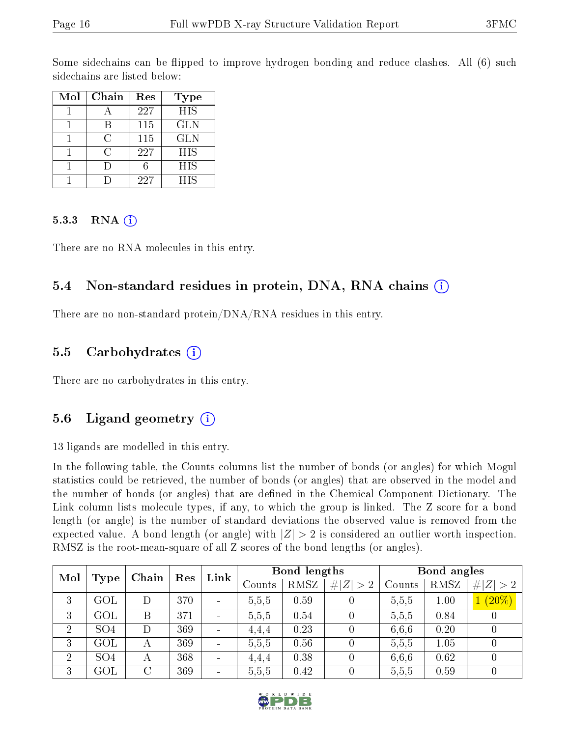Some sidechains can be flipped to improve hydrogen bonding and reduce clashes. All (6) such sidechains are listed below:

| Mol | Chain | Res | Type       |
|-----|-------|-----|------------|
|     |       | 227 | <b>HIS</b> |
|     |       | 115 | <b>GLN</b> |
|     | ( )   | 115 | <b>GLN</b> |
|     | ( )   | 227 | <b>HIS</b> |
|     |       |     | HIS        |
|     |       | 227 | <b>HIS</b> |

#### $5.3.3$  RNA  $(i)$

There are no RNA molecules in this entry.

### 5.4 Non-standard residues in protein, DNA, RNA chains (i)

There are no non-standard protein/DNA/RNA residues in this entry.

### 5.5 Carbohydrates  $(i)$

There are no carbohydrates in this entry.

## 5.6 Ligand geometry  $(i)$

13 ligands are modelled in this entry.

In the following table, the Counts columns list the number of bonds (or angles) for which Mogul statistics could be retrieved, the number of bonds (or angles) that are observed in the model and the number of bonds (or angles) that are defined in the Chemical Component Dictionary. The Link column lists molecule types, if any, to which the group is linked. The Z score for a bond length (or angle) is the number of standard deviations the observed value is removed from the expected value. A bond length (or angle) with  $|Z| > 2$  is considered an outlier worth inspection. RMSZ is the root-mean-square of all Z scores of the bond lengths (or angles).

| Mol<br>Type    |                 | Chain          | Bond lengths<br>Link<br>Res |                          |       | Bond angles |        |             |             |           |
|----------------|-----------------|----------------|-----------------------------|--------------------------|-------|-------------|--------|-------------|-------------|-----------|
|                |                 |                |                             | Counts                   | RMSZ  | # $ Z  > 2$ | Counts | <b>RMSZ</b> | # $ Z  > 2$ |           |
| 3              | GOL             |                | 370                         | $\sim$                   | 5,5,5 | 0.59        |        | 5.5, 5      | 1.00        | $1(20\%)$ |
| 3              | GOL             | Β              | 371                         | $\sim$                   | 5,5,5 | 0.54        |        | 5.5, 5      | 0.84        |           |
| $\overline{2}$ | SO <sub>4</sub> |                | 369                         | $\overline{\phantom{a}}$ | 4.4.4 | 0.23        |        | 6,6,6       | 0.20        |           |
| 3              | $\rm GOL$       | А              | 369                         | $\sim$                   | 5,5,5 | 0.56        |        | 5.5,5       | 1.05        |           |
| $\overline{2}$ | SO <sub>4</sub> | А              | 368                         | $\blacksquare$           | 4.4.4 | 0.38        |        | 6,6,6       | 0.62        |           |
| 3              | $\rm GOL$       | $\overline{C}$ | 369                         | $\sim$                   | 5,5,5 | 0.42        |        | 5,5,5       | 0.59        |           |

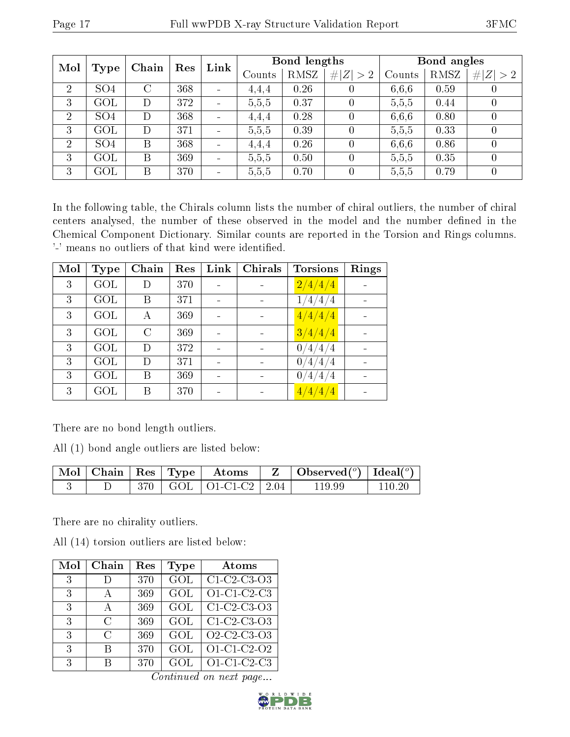| Mol<br>Type    |                 | Chain | Res | Link           | Bond lengths |             |        | Bond angles |             |                  |
|----------------|-----------------|-------|-----|----------------|--------------|-------------|--------|-------------|-------------|------------------|
|                |                 |       |     | Counts         | RMSZ         | # $ Z  > 2$ | Counts | RMSZ        | # $ Z  > 2$ |                  |
| $\overline{2}$ | SO <sub>4</sub> | C     | 368 | $\blacksquare$ | 4,4,4        | 0.26        |        | 6,6,6       | 0.59        |                  |
| 3              | GOL             | D     | 372 | $\frac{1}{2}$  | 5,5,5        | 0.37        |        | 5,5,5       | 0.44        |                  |
| $\overline{2}$ | SO <sub>4</sub> | D     | 368 | $\blacksquare$ | 4,4,4        | 0.28        |        | 6,6,6       | 0.80        |                  |
| 3              | GOL             | D     | 371 | $\equiv$       | 5,5,5        | 0.39        |        | 5.5.5       | 0.33        | $\left( \right)$ |
| $\overline{2}$ | SO <sub>4</sub> | B     | 368 | $\equiv$       | 4,4,4        | 0.26        |        | 6,6,6       | 0.86        | 0                |
| 3              | GOL             | B     | 369 | $\blacksquare$ | 5,5,5        | 0.50        |        | 5.5,5       | 0.35        | 0                |
| 3              | GOL             | Β     | 370 | $\sim$         | 5,5,5        | 0.70        |        | 5,5,5       | 0.79        |                  |

In the following table, the Chirals column lists the number of chiral outliers, the number of chiral centers analysed, the number of these observed in the model and the number defined in the Chemical Component Dictionary. Similar counts are reported in the Torsion and Rings columns. '-' means no outliers of that kind were identified.

| Mol | <b>Type</b> | Chain   | Res | Link | <b>Chirals</b> | <b>Torsions</b>           | Rings |
|-----|-------------|---------|-----|------|----------------|---------------------------|-------|
| 3   | GOL         | D       | 370 |      |                | $\frac{2}{4}/\frac{4}{4}$ |       |
| 3   | GOL         | В       | 371 |      |                | 1/4/4/4                   |       |
| 3   | GOL         | А       | 369 |      |                | 4/4/4/4                   |       |
| 3   | GOL         | $\rm C$ | 369 |      |                | 3/4/4/4                   |       |
| 3   | GOL         | D       | 372 |      |                | 0/4/4/4                   |       |
| 3   | GOL         | D       | 371 |      |                | 0/4/4/4                   |       |
| 3   | GOL         | В       | 369 |      |                | 0/4/4/4                   |       |
| 3   | GOL         | В       | 370 |      |                | 4/4/4/4                   |       |

There are no bond length outliers.

All (1) bond angle outliers are listed below:

|  |  |                                     | $\mid$ Mol $\mid$ Chain $\mid$ Res $\mid$ Type $\mid$ Atoms $\mid$ Z $\mid$ Observed( <sup>o</sup> ) $\mid$ Ideal( <sup>o</sup> ) |        |
|--|--|-------------------------------------|-----------------------------------------------------------------------------------------------------------------------------------|--------|
|  |  | $\perp$ 370   GOL   O1-C1-C2   2.04 | 119.99                                                                                                                            | 110.20 |

There are no chirality outliers.

All (14) torsion outliers are listed below:

| Mol | Chain        | Res | Type             | Atoms                                                          |
|-----|--------------|-----|------------------|----------------------------------------------------------------|
| 3   |              | 370 | $\overline{GOL}$ | C1-C2-C3-O3                                                    |
| 3   |              | 369 | GOL              | $O1-C1-C2-C3$                                                  |
| 3   | $\mathbf{A}$ | 369 | GOL              | $C1-C2-C3-O3$                                                  |
| 3   | C            | 369 | GOL              | $C1-C2-C3-O3$                                                  |
| 3   | C            | 369 | GOL              | O <sub>2</sub> -C <sub>2</sub> -C <sub>3</sub> -O <sub>3</sub> |
| 3   | В            | 370 | GOL              | $O1-C1-C2-O2$                                                  |
| 3   | R            | 370 | GOL              | $O1-C1-C2-C3$                                                  |

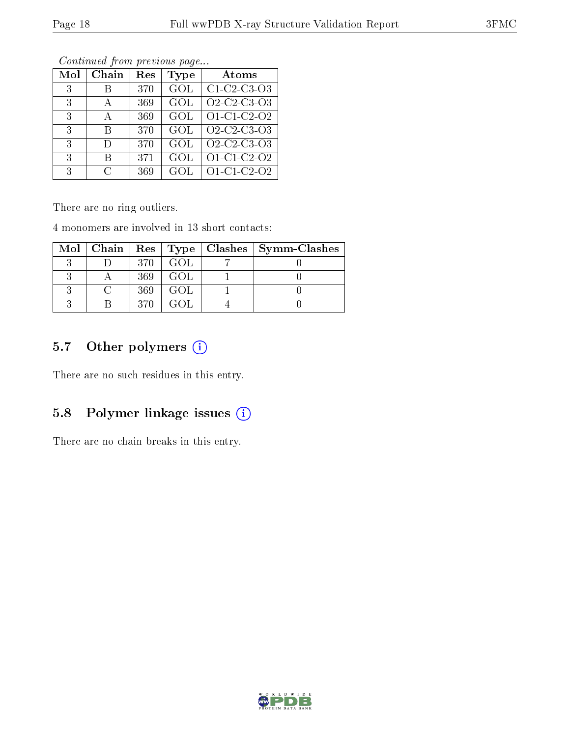| Mol | Chain         | Res | Type | Atoms                                                          |
|-----|---------------|-----|------|----------------------------------------------------------------|
| 3   |               | 370 | GOL  | C1 C2 C3 O3                                                    |
| 3   | А             | 369 | GOL  | O2-C2-C3-O3                                                    |
| 3   |               | 369 | GOL  | O1-C1-C2-O2                                                    |
| 3   | В             | 370 | GOL  | O <sub>2</sub> -C <sub>2</sub> -C <sub>3</sub> -O <sub>3</sub> |
| 3   | Ð             | 370 | GOL  | O <sub>2</sub> -C <sub>2</sub> -C <sub>3</sub> -O <sub>3</sub> |
| 3   | В             | 371 | GOL  | O1-C1-C2-O2                                                    |
| 3   | $\mathcal{C}$ | 369 | GOL  | O1-C1-C2-O2                                                    |

Continued from previous page...

There are no ring outliers.

4 monomers are involved in 13 short contacts:

|  |      |       | Mol   Chain   Res   Type   Clashes   Symm-Clashes |
|--|------|-------|---------------------------------------------------|
|  | 370  | GOL.  |                                                   |
|  | 369  | - GOL |                                                   |
|  | 369  | GOL.  |                                                   |
|  | 370. | GOL.  |                                                   |

## 5.7 [O](https://www.wwpdb.org/validation/2017/XrayValidationReportHelp#nonstandard_residues_and_ligands)ther polymers (i)

There are no such residues in this entry.

## 5.8 Polymer linkage issues (i)

There are no chain breaks in this entry.

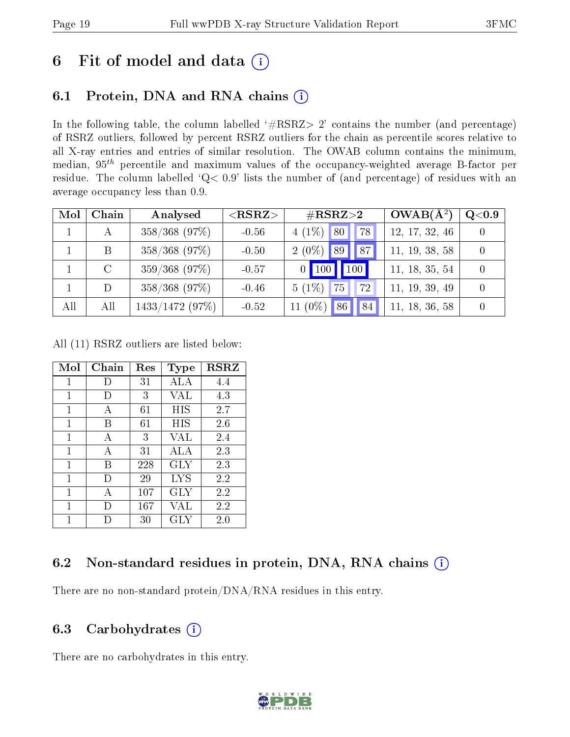## 6 Fit of model and data  $(i)$

## 6.1 Protein, DNA and RNA chains  $(i)$

In the following table, the column labelled  $#RSRZ> 2'$  contains the number (and percentage) of RSRZ outliers, followed by percent RSRZ outliers for the chain as percentile scores relative to all X-ray entries and entries of similar resolution. The OWAB column contains the minimum, median,  $95<sup>th</sup>$  percentile and maximum values of the occupancy-weighted average B-factor per residue. The column labelled ' $Q< 0.9$ ' lists the number of (and percentage) of residues with an average occupancy less than 0.9.

| Mol | Chain | Analysed          | $<$ RSRZ $>$ | $\#\text{RSRZ}{>}2$  | $OWAB(A^2)$    | $\rm Q\textcolor{black}{<}0.9$ |
|-----|-------|-------------------|--------------|----------------------|----------------|--------------------------------|
|     |       | 358/368 (97%)     | $-0.56$      | $4(1\%)$ 80<br>78    | 12, 17, 32, 46 |                                |
|     |       | 358/368 (97%)     | $-0.50$      | $2(0\%)$ 89<br>187   | 11, 19, 38, 58 |                                |
|     |       | 359/368 (97%)     | $-0.57$      | 100<br>$0$   100     | 11, 18, 35, 54 |                                |
|     |       | $358/368$ (97%)   | $-0.46$      | $5(1\%)$<br>75<br>72 | 11, 19, 39, 49 |                                |
| All | All   | $1433/1472$ (97%) | $-0.52$      | 11 (0%)<br>84<br>86  | 11, 18, 36, 58 |                                |

All (11) RSRZ outliers are listed below:

| Mol | Chain | Res    | Type       | <b>RSRZ</b> |
|-----|-------|--------|------------|-------------|
| 1   | Ð     | 31     | ALA        | 4.4         |
| 1   | Ð     | 3      | VAL        | 4.3         |
| 1   | А     | 61     | HIS        | 2.7         |
| 1   | В     | 61     | HIS        | 2.6         |
| 1   | А     | 3      | VAL        | 2.4         |
| 1   | А     | 31     | ALA        | 2.3         |
| 1   | В     | 228    | GLY        | 2.3         |
| 1   | Ð     | 29     | <b>LYS</b> | 2.2         |
| 1   | A     | 107    | <b>GLY</b> | 2.2         |
| 1   | D     | 167    | VAL        | 2.2         |
| 1   |       | $30\,$ | GLY        | $2.0\,$     |

### 6.2 Non-standard residues in protein, DNA, RNA chains (i)

There are no non-standard protein/DNA/RNA residues in this entry.

## 6.3 Carbohydrates (i)

There are no carbohydrates in this entry.